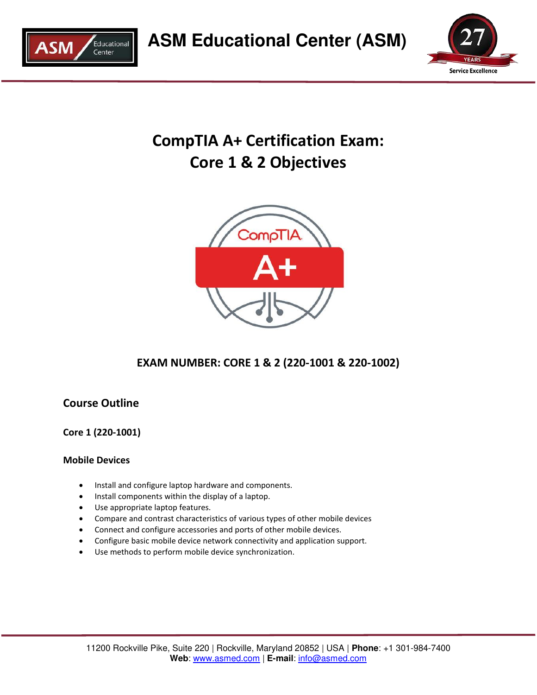



# **CompTIA A+ Certification Exam: Core 1 & 2 Objectives**



# **EXAM NUMBER: CORE 1 & 2 (220-1001 & 220-1002)**

# **Course Outline**

**Core 1 (220-1001)** 

# **Mobile Devices**

- Install and configure laptop hardware and components.
- Install components within the display of a laptop.
- Use appropriate laptop features.
- Compare and contrast characteristics of various types of other mobile devices
- Connect and configure accessories and ports of other mobile devices.
- Configure basic mobile device network connectivity and application support.
- Use methods to perform mobile device synchronization.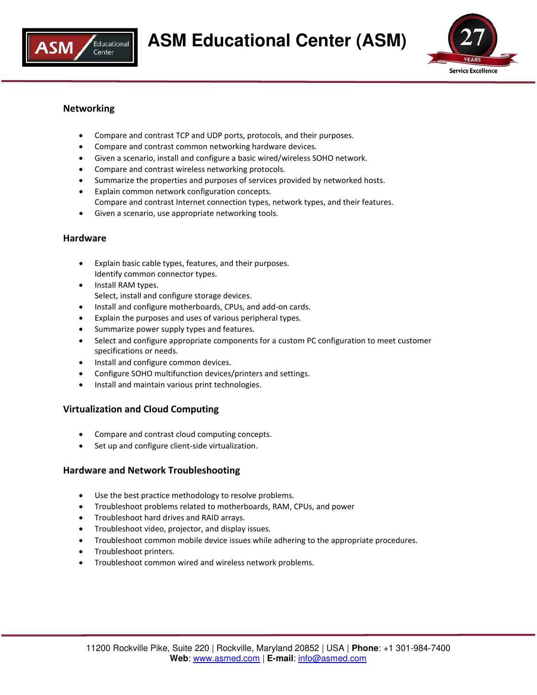



# **Networking**

- Compare and contrast TCP and UDP ports, protocols, and their purposes.
- Compare and contrast common networking hardware devices.
- Given a scenario, install and configure a basic wired/wireless SOHO network.
- Compare and contrast wireless networking protocols.
- Summarize the properties and purposes of services provided by networked hosts.
- Explain common network configuration concepts. Compare and contrast Internet connection types, network types, and their features.
- Given a scenario, use appropriate networking tools.

#### **Hardware**

- Explain basic cable types, features, and their purposes. Identify common connector types.
- Install RAM types. Select, install and configure storage devices.
- $\bullet$  Install and configure motherboards, CPUs, and add-on cards.
- Explain the purposes and uses of various peripheral types.
- Summarize power supply types and features.
- Select and configure appropriate components for a custom PC configuration to meet customer specifications or needs.
- Install and configure common devices.
- Configure SOHO multifunction devices/printers and settings.
- Install and maintain various print technologies.

#### **Virtualization and Cloud Computing**

- Compare and contrast cloud computing concepts.
- Set up and configure client-side virtualization.

#### **Hardware and Network Troubleshooting**

- Use the best practice methodology to resolve problems.
- Troubleshoot problems related to motherboards, RAM, CPUs, and power
- Troubleshoot hard drives and RAID arrays.
- Troubleshoot video, projector, and display issues.
- Troubleshoot common mobile device issues while adhering to the appropriate procedures.
- Troubleshoot printers.
- Troubleshoot common wired and wireless network problems.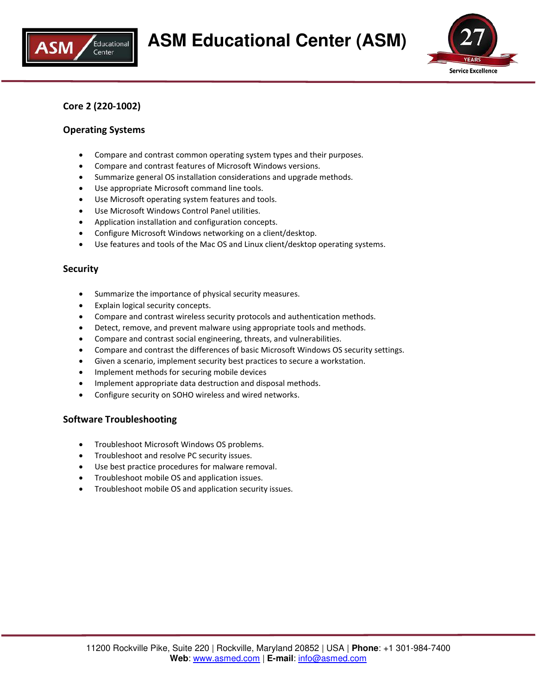



# **Core 2 (220-1002)**

#### **Operating Systems**

- Compare and contrast common operating system types and their purposes.
- Compare and contrast features of Microsoft Windows versions.
- Summarize general OS installation considerations and upgrade methods.
- Use appropriate Microsoft command line tools.
- Use Microsoft operating system features and tools.
- Use Microsoft Windows Control Panel utilities.
- Application installation and configuration concepts.
- Configure Microsoft Windows networking on a client/desktop.
- Use features and tools of the Mac OS and Linux client/desktop operating systems.

#### **Security**

- Summarize the importance of physical security measures.
- Explain logical security concepts.
- Compare and contrast wireless security protocols and authentication methods.
- Detect, remove, and prevent malware using appropriate tools and methods.
- Compare and contrast social engineering, threats, and vulnerabilities.
- Compare and contrast the differences of basic Microsoft Windows OS security settings.
- Given a scenario, implement security best practices to secure a workstation.
- Implement methods for securing mobile devices
- Implement appropriate data destruction and disposal methods.
- Configure security on SOHO wireless and wired networks.

#### **Software Troubleshooting**

- Troubleshoot Microsoft Windows OS problems.
- Troubleshoot and resolve PC security issues.
- Use best practice procedures for malware removal.
- Troubleshoot mobile OS and application issues.
- Troubleshoot mobile OS and application security issues.